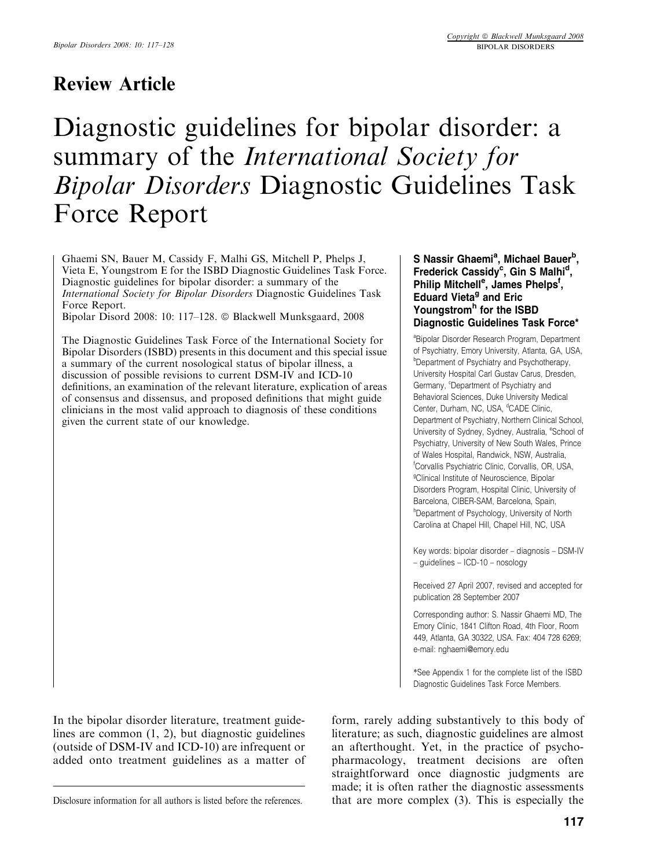# Review Article

# Diagnostic guidelines for bipolar disorder: a summary of the *International Society for* Bipolar Disorders Diagnostic Guidelines Task Force Report

Ghaemi SN, Bauer M, Cassidy F, Malhi GS, Mitchell P, Phelps J, Vieta E, Youngstrom E for the ISBD Diagnostic Guidelines Task Force. Diagnostic guidelines for bipolar disorder: a summary of the International Society for Bipolar Disorders Diagnostic Guidelines Task Force Report.

Bipolar Disord 2008: 10: 117-128. © Blackwell Munksgaard, 2008

The Diagnostic Guidelines Task Force of the International Society for Bipolar Disorders (ISBD) presents in this document and this special issue a summary of the current nosological status of bipolar illness, a discussion of possible revisions to current DSM-IV and ICD-10 definitions, an examination of the relevant literature, explication of areas of consensus and dissensus, and proposed definitions that might guide clinicians in the most valid approach to diagnosis of these conditions given the current state of our knowledge.

S Nassir Ghaemi<sup>a</sup>, Michael Bauer<sup>b</sup>, Frederick Cassidy<sup>c</sup>, Gin S Malhi<sup>d</sup>, Philip Mitchell<sup>e</sup>, James Phelps<sup>f</sup>, Eduard Vieta<sup>g</sup> and Eric Youngstrom<sup>h</sup> for the ISBD Diagnostic Guidelines Task Force\*

a Bipolar Disorder Research Program, Department of Psychiatry, Emory University, Atlanta, GA, USA, *b***Department of Psychiatry and Psychotherapy**, University Hospital Carl Gustav Carus, Dresden, Germany, <sup>c</sup>Department of Psychiatry and Behavioral Sciences, Duke University Medical Center, Durham, NC, USA, <sup>d</sup>CADE Clinic, Department of Psychiatry, Northern Clinical School, University of Sydney, Sydney, Australia, <sup>e</sup>School of Psychiatry, University of New South Wales, Prince of Wales Hospital, Randwick, NSW, Australia, f Corvallis Psychiatric Clinic, Corvallis, OR, USA, <sup>9</sup>Clinical Institute of Neuroscience, Bipolar Disorders Program, Hospital Clinic, University of Barcelona, CIBER-SAM, Barcelona, Spain, hDepartment of Psychology, University of North Carolina at Chapel Hill, Chapel Hill, NC, USA

Key words: bipolar disorder – diagnosis – DSM-IV – guidelines – ICD-10 – nosology

Received 27 April 2007, revised and accepted for publication 28 September 2007

Corresponding author: S. Nassir Ghaemi MD, The Emory Clinic, 1841 Clifton Road, 4th Floor, Room 449, Atlanta, GA 30322, USA. Fax: 404 728 6269; e-mail: nghaemi@emory.edu

\*See Appendix 1 for the complete list of the ISBD Diagnostic Guidelines Task Force Members.

In the bipolar disorder literature, treatment guidelines are common (1, 2), but diagnostic guidelines (outside of DSM-IV and ICD-10) are infrequent or added onto treatment guidelines as a matter of form, rarely adding substantively to this body of literature; as such, diagnostic guidelines are almost an afterthought. Yet, in the practice of psychopharmacology, treatment decisions are often straightforward once diagnostic judgments are made; it is often rather the diagnostic assessments that are more complex (3). This is especially the

Disclosure information for all authors is listed before the references.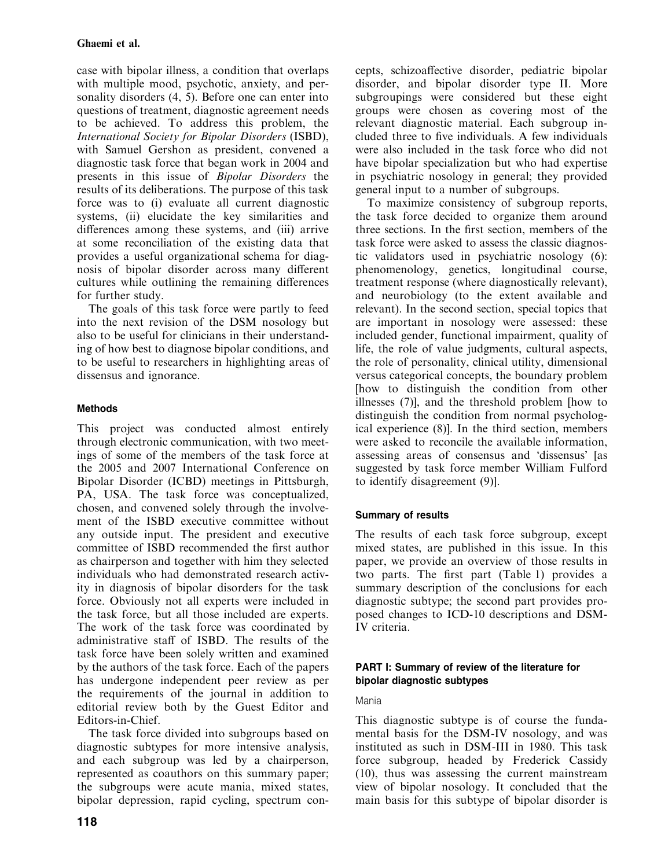#### Ghaemi et al.

case with bipolar illness, a condition that overlaps with multiple mood, psychotic, anxiety, and personality disorders (4, 5). Before one can enter into questions of treatment, diagnostic agreement needs to be achieved. To address this problem, the International Society for Bipolar Disorders (ISBD), with Samuel Gershon as president, convened a diagnostic task force that began work in 2004 and presents in this issue of Bipolar Disorders the results of its deliberations. The purpose of this task force was to (i) evaluate all current diagnostic systems, (ii) elucidate the key similarities and differences among these systems, and (iii) arrive at some reconciliation of the existing data that provides a useful organizational schema for diagnosis of bipolar disorder across many different cultures while outlining the remaining differences for further study.

The goals of this task force were partly to feed into the next revision of the DSM nosology but also to be useful for clinicians in their understanding of how best to diagnose bipolar conditions, and to be useful to researchers in highlighting areas of dissensus and ignorance.

#### **Methods**

This project was conducted almost entirely through electronic communication, with two meetings of some of the members of the task force at the 2005 and 2007 International Conference on Bipolar Disorder (ICBD) meetings in Pittsburgh, PA, USA. The task force was conceptualized, chosen, and convened solely through the involvement of the ISBD executive committee without any outside input. The president and executive committee of ISBD recommended the first author as chairperson and together with him they selected individuals who had demonstrated research activity in diagnosis of bipolar disorders for the task force. Obviously not all experts were included in the task force, but all those included are experts. The work of the task force was coordinated by administrative staff of ISBD. The results of the task force have been solely written and examined by the authors of the task force. Each of the papers has undergone independent peer review as per the requirements of the journal in addition to editorial review both by the Guest Editor and Editors-in-Chief.

The task force divided into subgroups based on diagnostic subtypes for more intensive analysis, and each subgroup was led by a chairperson, represented as coauthors on this summary paper; the subgroups were acute mania, mixed states, bipolar depression, rapid cycling, spectrum concepts, schizoaffective disorder, pediatric bipolar disorder, and bipolar disorder type II. More subgroupings were considered but these eight groups were chosen as covering most of the relevant diagnostic material. Each subgroup included three to five individuals. A few individuals were also included in the task force who did not have bipolar specialization but who had expertise in psychiatric nosology in general; they provided general input to a number of subgroups.

To maximize consistency of subgroup reports, the task force decided to organize them around three sections. In the first section, members of the task force were asked to assess the classic diagnostic validators used in psychiatric nosology (6): phenomenology, genetics, longitudinal course, treatment response (where diagnostically relevant), and neurobiology (to the extent available and relevant). In the second section, special topics that are important in nosology were assessed: these included gender, functional impairment, quality of life, the role of value judgments, cultural aspects, the role of personality, clinical utility, dimensional versus categorical concepts, the boundary problem [how to distinguish the condition from other illnesses (7)], and the threshold problem [how to distinguish the condition from normal psychological experience (8)]. In the third section, members were asked to reconcile the available information, assessing areas of consensus and 'dissensus' [as suggested by task force member William Fulford to identify disagreement (9)].

# Summary of results

The results of each task force subgroup, except mixed states, are published in this issue. In this paper, we provide an overview of those results in two parts. The first part (Table 1) provides a summary description of the conclusions for each diagnostic subtype; the second part provides proposed changes to ICD-10 descriptions and DSM-IV criteria.

#### PART I: Summary of review of the literature for bipolar diagnostic subtypes

#### Mania

This diagnostic subtype is of course the fundamental basis for the DSM-IV nosology, and was instituted as such in DSM-III in 1980. This task force subgroup, headed by Frederick Cassidy (10), thus was assessing the current mainstream view of bipolar nosology. It concluded that the main basis for this subtype of bipolar disorder is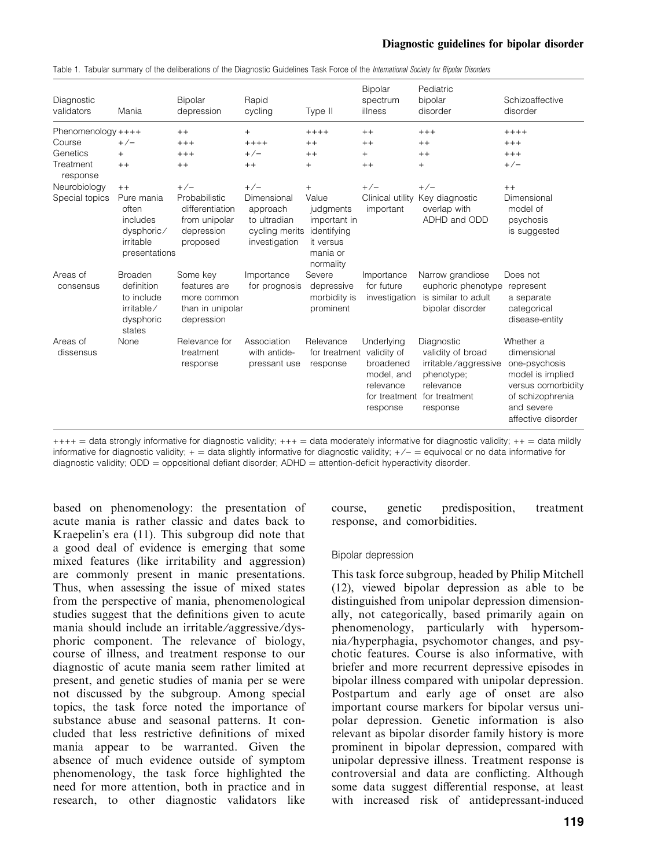| Diagnostic<br>validators | Mania                                                                           | Bipolar<br>depression                                                       | Rapid<br>cycling                                                           | Type II                                                                                 | Bipolar<br>spectrum<br>illness                                                                 | Pediatric<br>bipolar<br>disorder                                                                                | Schizoaffective<br>disorder                                                                                                                 |
|--------------------------|---------------------------------------------------------------------------------|-----------------------------------------------------------------------------|----------------------------------------------------------------------------|-----------------------------------------------------------------------------------------|------------------------------------------------------------------------------------------------|-----------------------------------------------------------------------------------------------------------------|---------------------------------------------------------------------------------------------------------------------------------------------|
| Phenomenology $++++$     |                                                                                 | $++$                                                                        | $+$                                                                        | $+++++$                                                                                 | $++$                                                                                           | $++++$                                                                                                          | $+++++$                                                                                                                                     |
| Course                   | $+/-$                                                                           | $+++$                                                                       | $+++++$                                                                    | $++$                                                                                    | $++$                                                                                           | $++$                                                                                                            | $++++$                                                                                                                                      |
| Genetics                 | $+$                                                                             | $+++$                                                                       | $+/-$                                                                      | $++$                                                                                    | $+$                                                                                            | $++$                                                                                                            | $+++$                                                                                                                                       |
| Treatment<br>response    | $++$                                                                            | $++$                                                                        | $++$                                                                       | $+$                                                                                     | $++$                                                                                           | $+$                                                                                                             | $+/-$                                                                                                                                       |
| Neurobiology             | $++$                                                                            | $+/-$                                                                       | $+/-$                                                                      | $+$                                                                                     | $+/-$                                                                                          | $+/-$                                                                                                           | $++$                                                                                                                                        |
| Special topics           | Pure mania<br>often<br>includes<br>dysphoric/<br>irritable<br>presentations     | Probabilistic<br>differentiation<br>from unipolar<br>depression<br>proposed | Dimensional<br>approach<br>to ultradian<br>cycling merits<br>investigation | Value<br>judgments<br>important in<br>identifying<br>it versus<br>mania or<br>normality | Clinical utility<br>important                                                                  | Key diagnostic<br>overlap with<br>ADHD and ODD                                                                  | Dimensional<br>model of<br>psychosis<br>is suggested                                                                                        |
| Areas of<br>consensus    | <b>Broaden</b><br>definition<br>to include<br>irritable/<br>dysphoric<br>states | Some key<br>features are<br>more common<br>than in unipolar<br>depression   | Importance<br>for prognosis                                                | Severe<br>depressive<br>morbidity is<br>prominent                                       | Importance<br>for future<br>investigation                                                      | Narrow grandiose<br>euphoric phenotype<br>is similar to adult<br>bipolar disorder                               | Does not<br>represent<br>a separate<br>categorical<br>disease-entity                                                                        |
| Areas of<br>dissensus    | None                                                                            | Relevance for<br>treatment<br>response                                      | Association<br>with antide-<br>pressant use                                | Relevance<br>for treatment<br>response                                                  | Underlying<br>validity of<br>broadened<br>model, and<br>relevance<br>for treatment<br>response | Diagnostic<br>validity of broad<br>irritable/aggressive<br>phenotype;<br>relevance<br>for treatment<br>response | Whether a<br>dimensional<br>one-psychosis<br>model is implied<br>versus comorbidity<br>of schizophrenia<br>and severe<br>affective disorder |

Table 1. Tabular summary of the deliberations of the Diagnostic Guidelines Task Force of the International Society for Bipolar Disorders

 $++++$   $=$  data strongly informative for diagnostic validity;  $+++=$  data moderately informative for diagnostic validity;  $++=$  data mildly informative for diagnostic validity;  $+$   $=$  data slightly informative for diagnostic validity;  $+/ =$  equivocal or no data informative for diagnostic validity;  $ODD =$  oppositional defiant disorder;  $ADHD =$  attention-deficit hyperactivity disorder.

based on phenomenology: the presentation of acute mania is rather classic and dates back to Kraepelin's era  $(11)$ . This subgroup did note that a good deal of evidence is emerging that some mixed features (like irritability and aggression) are commonly present in manic presentations. Thus, when assessing the issue of mixed states from the perspective of mania, phenomenological studies suggest that the definitions given to acute mania should include an irritable ⁄ aggressive ⁄dysphoric component. The relevance of biology, course of illness, and treatment response to our diagnostic of acute mania seem rather limited at present, and genetic studies of mania per se were not discussed by the subgroup. Among special topics, the task force noted the importance of substance abuse and seasonal patterns. It concluded that less restrictive definitions of mixed mania appear to be warranted. Given the absence of much evidence outside of symptom phenomenology, the task force highlighted the need for more attention, both in practice and in research, to other diagnostic validators like

course, genetic predisposition, treatment response, and comorbidities.

#### Bipolar depression

This task force subgroup, headed by Philip Mitchell (12), viewed bipolar depression as able to be distinguished from unipolar depression dimensionally, not categorically, based primarily again on phenomenology, particularly with hypersomnia ⁄hyperphagia, psychomotor changes, and psychotic features. Course is also informative, with briefer and more recurrent depressive episodes in bipolar illness compared with unipolar depression. Postpartum and early age of onset are also important course markers for bipolar versus unipolar depression. Genetic information is also relevant as bipolar disorder family history is more prominent in bipolar depression, compared with unipolar depressive illness. Treatment response is controversial and data are conflicting. Although some data suggest differential response, at least with increased risk of antidepressant-induced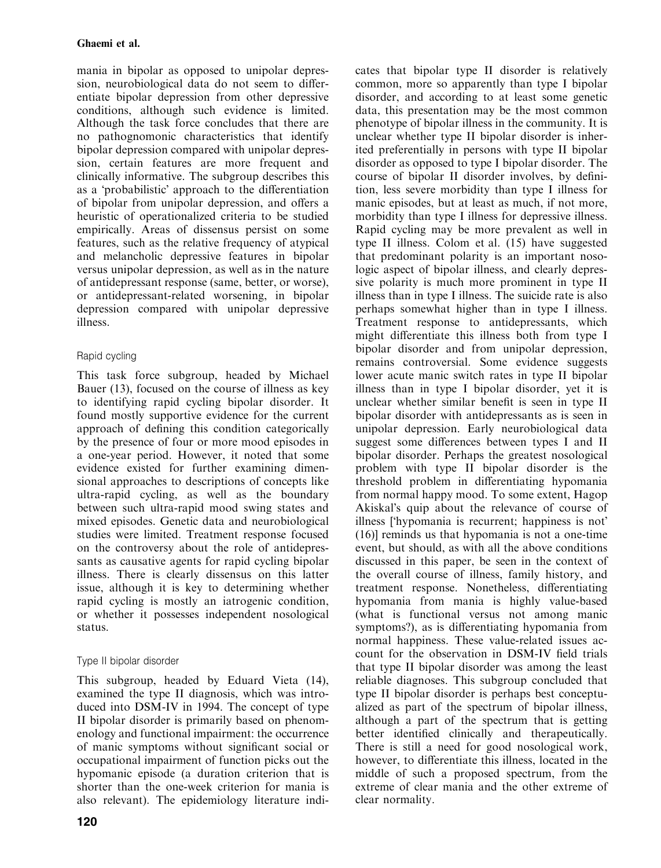mania in bipolar as opposed to unipolar depression, neurobiological data do not seem to differentiate bipolar depression from other depressive conditions, although such evidence is limited. Although the task force concludes that there are no pathognomonic characteristics that identify bipolar depression compared with unipolar depression, certain features are more frequent and clinically informative. The subgroup describes this as a 'probabilistic' approach to the differentiation of bipolar from unipolar depression, and offers a heuristic of operationalized criteria to be studied empirically. Areas of dissensus persist on some features, such as the relative frequency of atypical and melancholic depressive features in bipolar versus unipolar depression, as well as in the nature of antidepressant response (same, better, or worse), or antidepressant-related worsening, in bipolar depression compared with unipolar depressive illness.

# Rapid cycling

This task force subgroup, headed by Michael Bauer (13), focused on the course of illness as key to identifying rapid cycling bipolar disorder. It found mostly supportive evidence for the current approach of defining this condition categorically by the presence of four or more mood episodes in a one-year period. However, it noted that some evidence existed for further examining dimensional approaches to descriptions of concepts like ultra-rapid cycling, as well as the boundary between such ultra-rapid mood swing states and mixed episodes. Genetic data and neurobiological studies were limited. Treatment response focused on the controversy about the role of antidepressants as causative agents for rapid cycling bipolar illness. There is clearly dissensus on this latter issue, although it is key to determining whether rapid cycling is mostly an iatrogenic condition, or whether it possesses independent nosological status.

# Type II bipolar disorder

This subgroup, headed by Eduard Vieta (14), examined the type II diagnosis, which was introduced into DSM-IV in 1994. The concept of type II bipolar disorder is primarily based on phenomenology and functional impairment: the occurrence of manic symptoms without significant social or occupational impairment of function picks out the hypomanic episode (a duration criterion that is shorter than the one-week criterion for mania is also relevant). The epidemiology literature indicates that bipolar type II disorder is relatively common, more so apparently than type I bipolar disorder, and according to at least some genetic data, this presentation may be the most common phenotype of bipolar illness in the community. It is unclear whether type II bipolar disorder is inherited preferentially in persons with type II bipolar disorder as opposed to type I bipolar disorder. The course of bipolar II disorder involves, by definition, less severe morbidity than type I illness for manic episodes, but at least as much, if not more, morbidity than type I illness for depressive illness. Rapid cycling may be more prevalent as well in type II illness. Colom et al. (15) have suggested that predominant polarity is an important nosologic aspect of bipolar illness, and clearly depressive polarity is much more prominent in type II illness than in type I illness. The suicide rate is also perhaps somewhat higher than in type I illness. Treatment response to antidepressants, which might differentiate this illness both from type I bipolar disorder and from unipolar depression, remains controversial. Some evidence suggests lower acute manic switch rates in type II bipolar illness than in type I bipolar disorder, yet it is unclear whether similar benefit is seen in type II bipolar disorder with antidepressants as is seen in unipolar depression. Early neurobiological data suggest some differences between types I and II bipolar disorder. Perhaps the greatest nosological problem with type II bipolar disorder is the threshold problem in differentiating hypomania from normal happy mood. To some extent, Hagop Akiskal's quip about the relevance of course of illness ['hypomania is recurrent; happiness is not' (16)] reminds us that hypomania is not a one-time event, but should, as with all the above conditions discussed in this paper, be seen in the context of the overall course of illness, family history, and treatment response. Nonetheless, differentiating hypomania from mania is highly value-based (what is functional versus not among manic symptoms?), as is differentiating hypomania from normal happiness. These value-related issues account for the observation in DSM-IV field trials that type II bipolar disorder was among the least reliable diagnoses. This subgroup concluded that type II bipolar disorder is perhaps best conceptualized as part of the spectrum of bipolar illness, although a part of the spectrum that is getting better identified clinically and therapeutically. There is still a need for good nosological work, however, to differentiate this illness, located in the middle of such a proposed spectrum, from the extreme of clear mania and the other extreme of clear normality.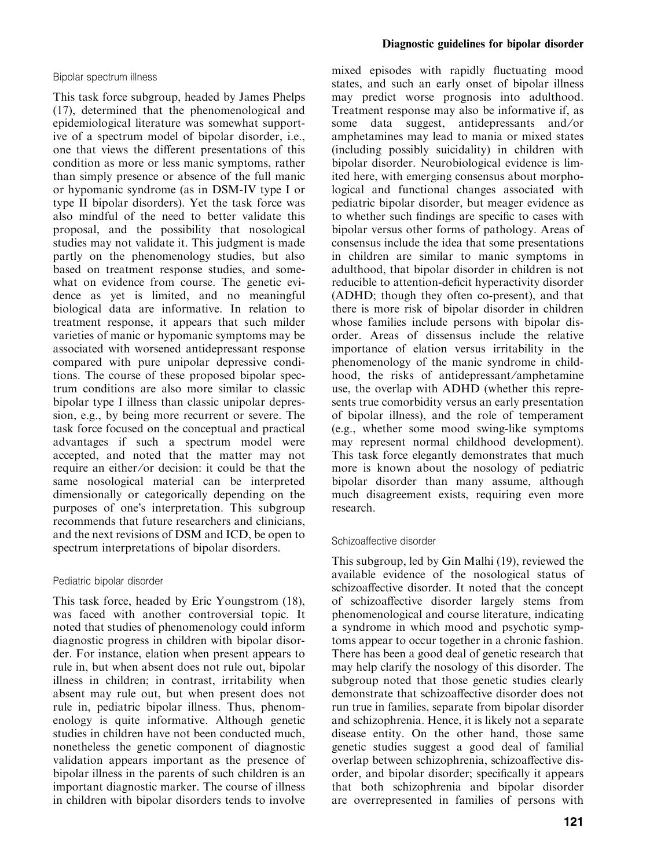Bipolar spectrum illness

This task force subgroup, headed by James Phelps (17), determined that the phenomenological and epidemiological literature was somewhat supportive of a spectrum model of bipolar disorder, i.e., one that views the different presentations of this condition as more or less manic symptoms, rather than simply presence or absence of the full manic or hypomanic syndrome (as in DSM-IV type I or type II bipolar disorders). Yet the task force was also mindful of the need to better validate this proposal, and the possibility that nosological studies may not validate it. This judgment is made partly on the phenomenology studies, but also based on treatment response studies, and somewhat on evidence from course. The genetic evidence as yet is limited, and no meaningful biological data are informative. In relation to treatment response, it appears that such milder varieties of manic or hypomanic symptoms may be associated with worsened antidepressant response compared with pure unipolar depressive conditions. The course of these proposed bipolar spectrum conditions are also more similar to classic bipolar type I illness than classic unipolar depression, e.g., by being more recurrent or severe. The task force focused on the conceptual and practical advantages if such a spectrum model were accepted, and noted that the matter may not require an either ⁄or decision: it could be that the same nosological material can be interpreted dimensionally or categorically depending on the purposes of one's interpretation. This subgroup recommends that future researchers and clinicians, and the next revisions of DSM and ICD, be open to spectrum interpretations of bipolar disorders.

#### Pediatric bipolar disorder

This task force, headed by Eric Youngstrom (18), was faced with another controversial topic. It noted that studies of phenomenology could inform diagnostic progress in children with bipolar disorder. For instance, elation when present appears to rule in, but when absent does not rule out, bipolar illness in children; in contrast, irritability when absent may rule out, but when present does not rule in, pediatric bipolar illness. Thus, phenomenology is quite informative. Although genetic studies in children have not been conducted much, nonetheless the genetic component of diagnostic validation appears important as the presence of bipolar illness in the parents of such children is an important diagnostic marker. The course of illness in children with bipolar disorders tends to involve mixed episodes with rapidly fluctuating mood states, and such an early onset of bipolar illness may predict worse prognosis into adulthood. Treatment response may also be informative if, as some data suggest, antidepressants and/or amphetamines may lead to mania or mixed states (including possibly suicidality) in children with bipolar disorder. Neurobiological evidence is limited here, with emerging consensus about morphological and functional changes associated with pediatric bipolar disorder, but meager evidence as to whether such findings are specific to cases with bipolar versus other forms of pathology. Areas of consensus include the idea that some presentations in children are similar to manic symptoms in adulthood, that bipolar disorder in children is not reducible to attention-deficit hyperactivity disorder (ADHD; though they often co-present), and that there is more risk of bipolar disorder in children whose families include persons with bipolar disorder. Areas of dissensus include the relative importance of elation versus irritability in the phenomenology of the manic syndrome in childhood, the risks of antidepressant/amphetamine use, the overlap with ADHD (whether this represents true comorbidity versus an early presentation of bipolar illness), and the role of temperament (e.g., whether some mood swing-like symptoms may represent normal childhood development). This task force elegantly demonstrates that much more is known about the nosology of pediatric bipolar disorder than many assume, although much disagreement exists, requiring even more research.

#### Schizoaffective disorder

This subgroup, led by Gin Malhi (19), reviewed the available evidence of the nosological status of schizoaffective disorder. It noted that the concept of schizoaffective disorder largely stems from phenomenological and course literature, indicating a syndrome in which mood and psychotic symptoms appear to occur together in a chronic fashion. There has been a good deal of genetic research that may help clarify the nosology of this disorder. The subgroup noted that those genetic studies clearly demonstrate that schizoaffective disorder does not run true in families, separate from bipolar disorder and schizophrenia. Hence, it is likely not a separate disease entity. On the other hand, those same genetic studies suggest a good deal of familial overlap between schizophrenia, schizoaffective disorder, and bipolar disorder; specifically it appears that both schizophrenia and bipolar disorder are overrepresented in families of persons with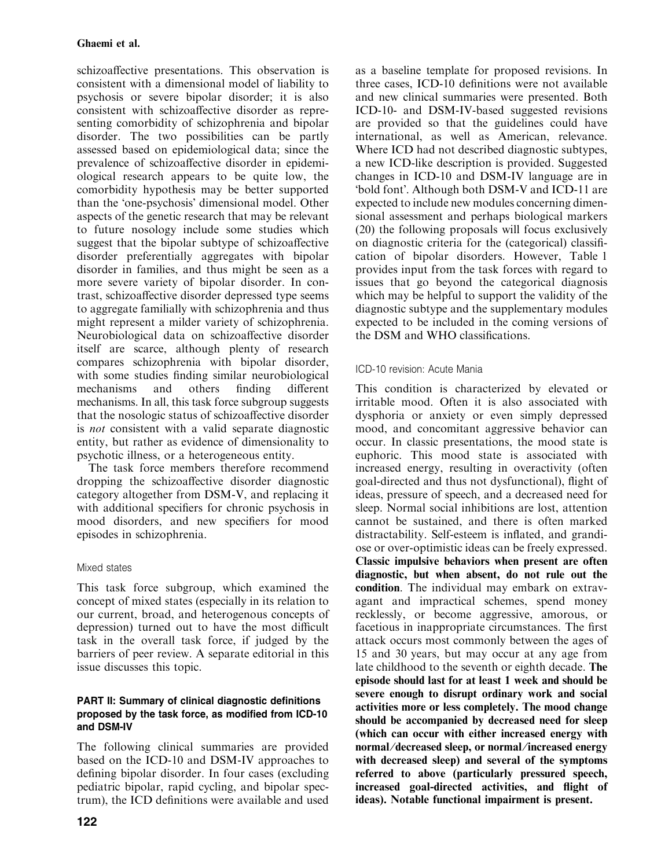schizoaffective presentations. This observation is consistent with a dimensional model of liability to psychosis or severe bipolar disorder; it is also consistent with schizoaffective disorder as representing comorbidity of schizophrenia and bipolar disorder. The two possibilities can be partly assessed based on epidemiological data; since the prevalence of schizoaffective disorder in epidemiological research appears to be quite low, the comorbidity hypothesis may be better supported than the 'one-psychosis' dimensional model. Other aspects of the genetic research that may be relevant to future nosology include some studies which suggest that the bipolar subtype of schizoaffective disorder preferentially aggregates with bipolar disorder in families, and thus might be seen as a more severe variety of bipolar disorder. In contrast, schizoaffective disorder depressed type seems to aggregate familially with schizophrenia and thus might represent a milder variety of schizophrenia. Neurobiological data on schizoaffective disorder itself are scarce, although plenty of research compares schizophrenia with bipolar disorder, with some studies finding similar neurobiological mechanisms and others finding different mechanisms. In all, this task force subgroup suggests that the nosologic status of schizoaffective disorder is not consistent with a valid separate diagnostic entity, but rather as evidence of dimensionality to psychotic illness, or a heterogeneous entity.

The task force members therefore recommend dropping the schizoaffective disorder diagnostic category altogether from DSM-V, and replacing it with additional specifiers for chronic psychosis in mood disorders, and new specifiers for mood episodes in schizophrenia.

# Mixed states

This task force subgroup, which examined the concept of mixed states (especially in its relation to our current, broad, and heterogenous concepts of depression) turned out to have the most difficult task in the overall task force, if judged by the barriers of peer review. A separate editorial in this issue discusses this topic.

#### PART II: Summary of clinical diagnostic definitions proposed by the task force, as modified from ICD-10 and DSM-IV

The following clinical summaries are provided based on the ICD-10 and DSM-IV approaches to defining bipolar disorder. In four cases (excluding pediatric bipolar, rapid cycling, and bipolar spectrum), the ICD definitions were available and used as a baseline template for proposed revisions. In three cases, ICD-10 definitions were not available and new clinical summaries were presented. Both ICD-10- and DSM-IV-based suggested revisions are provided so that the guidelines could have international, as well as American, relevance. Where ICD had not described diagnostic subtypes, a new ICD-like description is provided. Suggested changes in ICD-10 and DSM-IV language are in -bold font. Although both DSM-V and ICD-11 are expected to include new modules concerning dimensional assessment and perhaps biological markers (20) the following proposals will focus exclusively on diagnostic criteria for the (categorical) classification of bipolar disorders. However, Table 1 provides input from the task forces with regard to issues that go beyond the categorical diagnosis which may be helpful to support the validity of the diagnostic subtype and the supplementary modules expected to be included in the coming versions of the DSM and WHO classifications.

#### ICD-10 revision: Acute Mania

This condition is characterized by elevated or irritable mood. Often it is also associated with dysphoria or anxiety or even simply depressed mood, and concomitant aggressive behavior can occur. In classic presentations, the mood state is euphoric. This mood state is associated with increased energy, resulting in overactivity (often goal-directed and thus not dysfunctional), flight of ideas, pressure of speech, and a decreased need for sleep. Normal social inhibitions are lost, attention cannot be sustained, and there is often marked distractability. Self-esteem is inflated, and grandiose or over-optimistic ideas can be freely expressed. Classic impulsive behaviors when present are often diagnostic, but when absent, do not rule out the condition. The individual may embark on extravagant and impractical schemes, spend money recklessly, or become aggressive, amorous, or facetious in inappropriate circumstances. The first attack occurs most commonly between the ages of 15 and 30 years, but may occur at any age from late childhood to the seventh or eighth decade. The episode should last for at least 1 week and should be severe enough to disrupt ordinary work and social activities more or less completely. The mood change should be accompanied by decreased need for sleep (which can occur with either increased energy with normal ⁄ decreased sleep, or normal ⁄increased energy with decreased sleep) and several of the symptoms referred to above (particularly pressured speech, increased goal-directed activities, and flight of ideas). Notable functional impairment is present.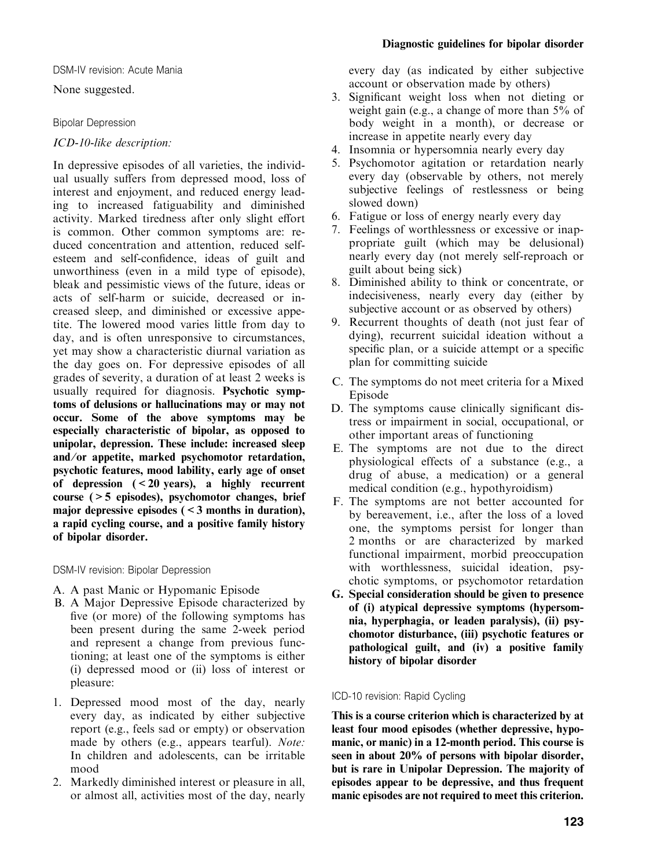DSM-IV revision: Acute Mania

None suggested.

#### Bipolar Depression

#### ICD-10-like description:

In depressive episodes of all varieties, the individual usually suffers from depressed mood, loss of interest and enjoyment, and reduced energy leading to increased fatiguability and diminished activity. Marked tiredness after only slight effort is common. Other common symptoms are: reduced concentration and attention, reduced selfesteem and self-confidence, ideas of guilt and unworthiness (even in a mild type of episode), bleak and pessimistic views of the future, ideas or acts of self-harm or suicide, decreased or increased sleep, and diminished or excessive appetite. The lowered mood varies little from day to day, and is often unresponsive to circumstances, yet may show a characteristic diurnal variation as the day goes on. For depressive episodes of all grades of severity, a duration of at least 2 weeks is usually required for diagnosis. Psychotic symptoms of delusions or hallucinations may or may not occur. Some of the above symptoms may be especially characteristic of bipolar, as opposed to unipolar, depression. These include: increased sleep and/or appetite, marked psychomotor retardation. psychotic features, mood lability, early age of onset of depression (<20 years), a highly recurrent course (>5 episodes), psychomotor changes, brief major depressive episodes  $\leq$  3 months in duration), a rapid cycling course, and a positive family history of bipolar disorder.

#### DSM-IV revision: Bipolar Depression

- A. A past Manic or Hypomanic Episode
- B. A Major Depressive Episode characterized by five (or more) of the following symptoms has been present during the same 2-week period and represent a change from previous functioning; at least one of the symptoms is either (i) depressed mood or (ii) loss of interest or pleasure:
- 1. Depressed mood most of the day, nearly every day, as indicated by either subjective report (e.g., feels sad or empty) or observation made by others (e.g., appears tearful). Note: In children and adolescents, can be irritable mood
- 2. Markedly diminished interest or pleasure in all, or almost all, activities most of the day, nearly

every day (as indicated by either subjective account or observation made by others)

- 3. Significant weight loss when not dieting or weight gain (e.g., a change of more than 5% of body weight in a month), or decrease or increase in appetite nearly every day
- 4. Insomnia or hypersomnia nearly every day
- 5. Psychomotor agitation or retardation nearly every day (observable by others, not merely subjective feelings of restlessness or being slowed down)
- 6. Fatigue or loss of energy nearly every day
- 7. Feelings of worthlessness or excessive or inappropriate guilt (which may be delusional) nearly every day (not merely self-reproach or guilt about being sick)
- 8. Diminished ability to think or concentrate, or indecisiveness, nearly every day (either by subjective account or as observed by others)
- 9. Recurrent thoughts of death (not just fear of dying), recurrent suicidal ideation without a specific plan, or a suicide attempt or a specific plan for committing suicide
- C. The symptoms do not meet criteria for a Mixed Episode
- D. The symptoms cause clinically significant distress or impairment in social, occupational, or other important areas of functioning
- E. The symptoms are not due to the direct physiological effects of a substance (e.g., a drug of abuse, a medication) or a general medical condition (e.g., hypothyroidism)
- F. The symptoms are not better accounted for by bereavement, i.e., after the loss of a loved one, the symptoms persist for longer than 2 months or are characterized by marked functional impairment, morbid preoccupation with worthlessness, suicidal ideation, psychotic symptoms, or psychomotor retardation
- G. Special consideration should be given to presence of (i) atypical depressive symptoms (hypersomnia, hyperphagia, or leaden paralysis), (ii) psychomotor disturbance, (iii) psychotic features or pathological guilt, and (iv) a positive family history of bipolar disorder

#### ICD-10 revision: Rapid Cycling

This is a course criterion which is characterized by at least four mood episodes (whether depressive, hypomanic, or manic) in a 12-month period. This course is seen in about 20% of persons with bipolar disorder, but is rare in Unipolar Depression. The majority of episodes appear to be depressive, and thus frequent manic episodes are not required to meet this criterion.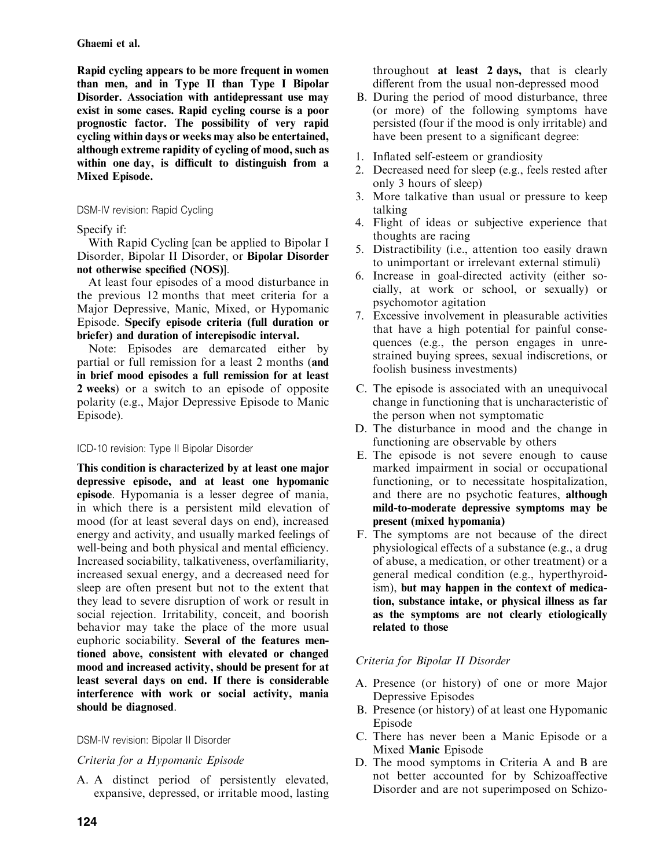Rapid cycling appears to be more frequent in women than men, and in Type II than Type I Bipolar Disorder. Association with antidepressant use may exist in some cases. Rapid cycling course is a poor prognostic factor. The possibility of very rapid cycling within days or weeks may also be entertained, although extreme rapidity of cycling of mood, such as within one day, is difficult to distinguish from a Mixed Episode.

#### DSM-IV revision: Rapid Cycling

#### Specify if:

With Rapid Cycling [can be applied to Bipolar I Disorder, Bipolar II Disorder, or Bipolar Disorder not otherwise specified (NOS)].

At least four episodes of a mood disturbance in the previous 12 months that meet criteria for a Major Depressive, Manic, Mixed, or Hypomanic Episode. Specify episode criteria (full duration or briefer) and duration of interepisodic interval.

Note: Episodes are demarcated either by partial or full remission for a least 2 months (and in brief mood episodes a full remission for at least 2 weeks) or a switch to an episode of opposite polarity (e.g., Major Depressive Episode to Manic Episode).

#### ICD-10 revision: Type II Bipolar Disorder

This condition is characterized by at least one major depressive episode, and at least one hypomanic episode. Hypomania is a lesser degree of mania, in which there is a persistent mild elevation of mood (for at least several days on end), increased energy and activity, and usually marked feelings of well-being and both physical and mental efficiency. Increased sociability, talkativeness, overfamiliarity, increased sexual energy, and a decreased need for sleep are often present but not to the extent that they lead to severe disruption of work or result in social rejection. Irritability, conceit, and boorish behavior may take the place of the more usual euphoric sociability. Several of the features mentioned above, consistent with elevated or changed mood and increased activity, should be present for at least several days on end. If there is considerable interference with work or social activity, mania should be diagnosed.

#### DSM-IV revision: Bipolar II Disorder

# Criteria for a Hypomanic Episode

A. A distinct period of persistently elevated, expansive, depressed, or irritable mood, lasting throughout at least 2 days, that is clearly different from the usual non-depressed mood

- B. During the period of mood disturbance, three (or more) of the following symptoms have persisted (four if the mood is only irritable) and have been present to a significant degree:
- 1. Inflated self-esteem or grandiosity
- 2. Decreased need for sleep (e.g., feels rested after only 3 hours of sleep)
- 3. More talkative than usual or pressure to keep talking
- 4. Flight of ideas or subjective experience that thoughts are racing
- 5. Distractibility (i.e., attention too easily drawn to unimportant or irrelevant external stimuli)
- 6. Increase in goal-directed activity (either socially, at work or school, or sexually) or psychomotor agitation
- 7. Excessive involvement in pleasurable activities that have a high potential for painful consequences (e.g., the person engages in unrestrained buying sprees, sexual indiscretions, or foolish business investments)
- C. The episode is associated with an unequivocal change in functioning that is uncharacteristic of the person when not symptomatic
- D. The disturbance in mood and the change in functioning are observable by others
- E. The episode is not severe enough to cause marked impairment in social or occupational functioning, or to necessitate hospitalization, and there are no psychotic features, although mild-to-moderate depressive symptoms may be present (mixed hypomania)
- F. The symptoms are not because of the direct physiological effects of a substance (e.g., a drug of abuse, a medication, or other treatment) or a general medical condition (e.g., hyperthyroidism), but may happen in the context of medication, substance intake, or physical illness as far as the symptoms are not clearly etiologically related to those

# Criteria for Bipolar II Disorder

- A. Presence (or history) of one or more Major Depressive Episodes
- B. Presence (or history) of at least one Hypomanic Episode
- C. There has never been a Manic Episode or a Mixed Manic Episode
- D. The mood symptoms in Criteria A and B are not better accounted for by Schizoaffective Disorder and are not superimposed on Schizo-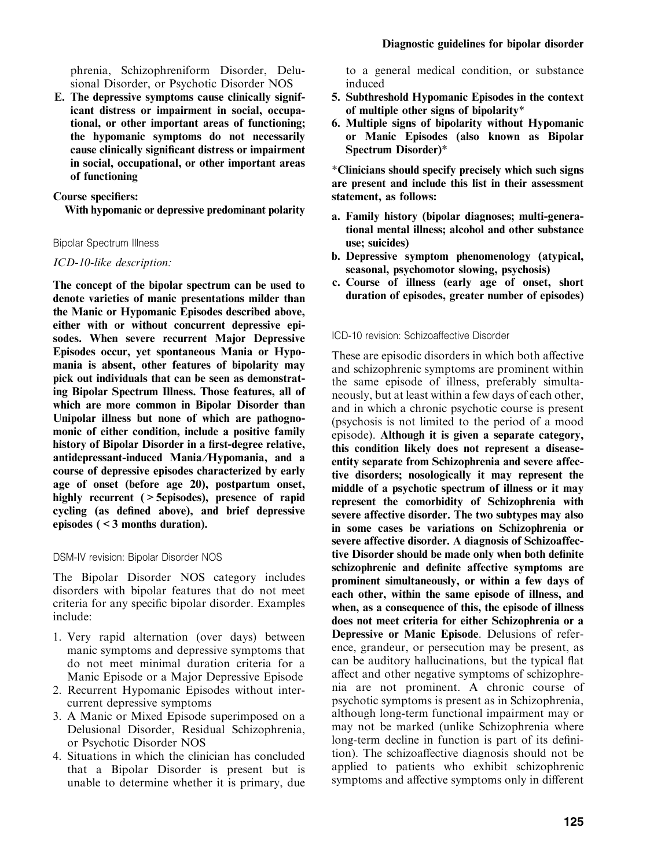phrenia, Schizophreniform Disorder, Delusional Disorder, or Psychotic Disorder NOS

E. The depressive symptoms cause clinically significant distress or impairment in social, occupational, or other important areas of functioning; the hypomanic symptoms do not necessarily cause clinically significant distress or impairment in social, occupational, or other important areas of functioning

#### Course specifiers:

With hypomanic or depressive predominant polarity

#### Bipolar Spectrum Illness

#### ICD-10-like description:

The concept of the bipolar spectrum can be used to denote varieties of manic presentations milder than the Manic or Hypomanic Episodes described above, either with or without concurrent depressive episodes. When severe recurrent Major Depressive Episodes occur, yet spontaneous Mania or Hypomania is absent, other features of bipolarity may pick out individuals that can be seen as demonstrating Bipolar Spectrum Illness. Those features, all of which are more common in Bipolar Disorder than Unipolar illness but none of which are pathognomonic of either condition, include a positive family history of Bipolar Disorder in a first-degree relative, antidepressant-induced Mania ⁄ Hypomania, and a course of depressive episodes characterized by early age of onset (before age 20), postpartum onset, highly recurrent ( $>$ 5episodes), presence of rapid cycling (as defined above), and brief depressive episodes (<3 months duration).

#### DSM-IV revision: Bipolar Disorder NOS

The Bipolar Disorder NOS category includes disorders with bipolar features that do not meet criteria for any specific bipolar disorder. Examples include:

- 1. Very rapid alternation (over days) between manic symptoms and depressive symptoms that do not meet minimal duration criteria for a Manic Episode or a Major Depressive Episode
- 2. Recurrent Hypomanic Episodes without intercurrent depressive symptoms
- 3. A Manic or Mixed Episode superimposed on a Delusional Disorder, Residual Schizophrenia, or Psychotic Disorder NOS
- 4. Situations in which the clinician has concluded that a Bipolar Disorder is present but is unable to determine whether it is primary, due

to a general medical condition, or substance induced

- 5. Subthreshold Hypomanic Episodes in the context of multiple other signs of bipolarity\*
- 6. Multiple signs of bipolarity without Hypomanic or Manic Episodes (also known as Bipolar Spectrum Disorder)\*

\*Clinicians should specify precisely which such signs are present and include this list in their assessment statement, as follows:

- a. Family history (bipolar diagnoses; multi-generational mental illness; alcohol and other substance use; suicides)
- b. Depressive symptom phenomenology (atypical, seasonal, psychomotor slowing, psychosis)
- c. Course of illness (early age of onset, short duration of episodes, greater number of episodes)

#### ICD-10 revision: Schizoaffective Disorder

These are episodic disorders in which both affective and schizophrenic symptoms are prominent within the same episode of illness, preferably simultaneously, but at least within a few days of each other, and in which a chronic psychotic course is present (psychosis is not limited to the period of a mood episode). Although it is given a separate category, this condition likely does not represent a diseaseentity separate from Schizophrenia and severe affective disorders; nosologically it may represent the middle of a psychotic spectrum of illness or it may represent the comorbidity of Schizophrenia with severe affective disorder. The two subtypes may also in some cases be variations on Schizophrenia or severe affective disorder. A diagnosis of Schizoaffective Disorder should be made only when both definite schizophrenic and definite affective symptoms are prominent simultaneously, or within a few days of each other, within the same episode of illness, and when, as a consequence of this, the episode of illness does not meet criteria for either Schizophrenia or a Depressive or Manic Episode. Delusions of reference, grandeur, or persecution may be present, as can be auditory hallucinations, but the typical flat affect and other negative symptoms of schizophrenia are not prominent. A chronic course of psychotic symptoms is present as in Schizophrenia, although long-term functional impairment may or may not be marked (unlike Schizophrenia where long-term decline in function is part of its definition). The schizoaffective diagnosis should not be applied to patients who exhibit schizophrenic symptoms and affective symptoms only in different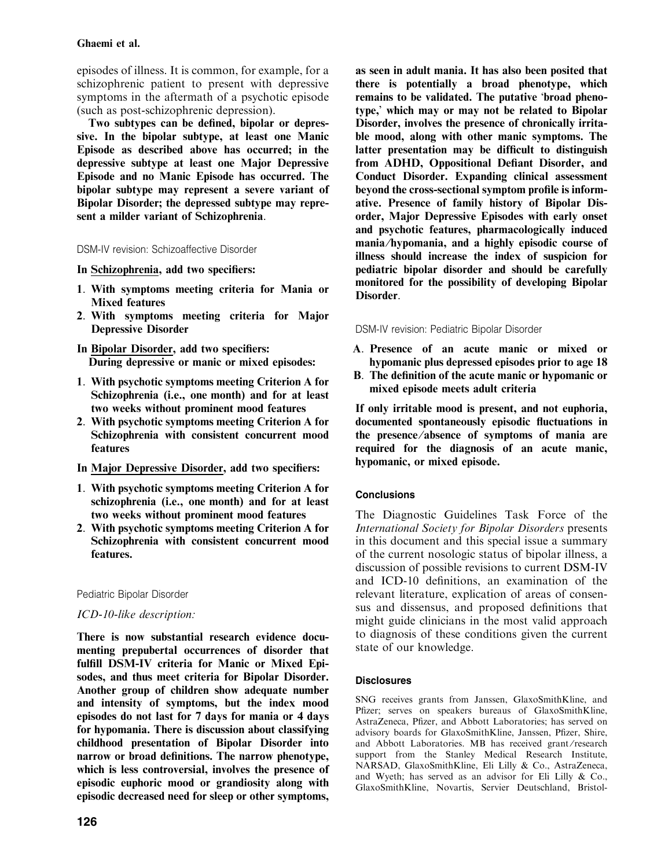episodes of illness. It is common, for example, for a schizophrenic patient to present with depressive symptoms in the aftermath of a psychotic episode (such as post-schizophrenic depression).

Two subtypes can be defined, bipolar or depressive. In the bipolar subtype, at least one Manic Episode as described above has occurred; in the depressive subtype at least one Major Depressive Episode and no Manic Episode has occurred. The bipolar subtype may represent a severe variant of Bipolar Disorder; the depressed subtype may represent a milder variant of Schizophrenia.

#### DSM-IV revision: Schizoaffective Disorder

In Schizophrenia, add two specifiers:

- 1. With symptoms meeting criteria for Mania or Mixed features
- 2. With symptoms meeting criteria for Major Depressive Disorder
- In Bipolar Disorder, add two specifiers: During depressive or manic or mixed episodes:
- 1. With psychotic symptoms meeting Criterion A for Schizophrenia (i.e., one month) and for at least two weeks without prominent mood features
- 2. With psychotic symptoms meeting Criterion A for Schizophrenia with consistent concurrent mood features

In Major Depressive Disorder, add two specifiers:

- 1. With psychotic symptoms meeting Criterion A for schizophrenia (i.e., one month) and for at least two weeks without prominent mood features
- 2. With psychotic symptoms meeting Criterion A for Schizophrenia with consistent concurrent mood features.

Pediatric Bipolar Disorder

#### ICD-10-like description:

There is now substantial research evidence documenting prepubertal occurrences of disorder that fulfill DSM-IV criteria for Manic or Mixed Episodes, and thus meet criteria for Bipolar Disorder. Another group of children show adequate number and intensity of symptoms, but the index mood episodes do not last for 7 days for mania or 4 days for hypomania. There is discussion about classifying childhood presentation of Bipolar Disorder into narrow or broad definitions. The narrow phenotype, which is less controversial, involves the presence of episodic euphoric mood or grandiosity along with episodic decreased need for sleep or other symptoms, as seen in adult mania. It has also been posited that there is potentially a broad phenotype, which remains to be validated. The putative 'broad phenotype,' which may or may not be related to Bipolar Disorder, involves the presence of chronically irritable mood, along with other manic symptoms. The latter presentation may be difficult to distinguish from ADHD, Oppositional Defiant Disorder, and Conduct Disorder. Expanding clinical assessment beyond the cross-sectional symptom profile is informative. Presence of family history of Bipolar Disorder, Major Depressive Episodes with early onset and psychotic features, pharmacologically induced mania ⁄ hypomania, and a highly episodic course of illness should increase the index of suspicion for pediatric bipolar disorder and should be carefully monitored for the possibility of developing Bipolar Disorder.

#### DSM-IV revision: Pediatric Bipolar Disorder

- A. Presence of an acute manic or mixed or hypomanic plus depressed episodes prior to age 18
- B. The definition of the acute manic or hypomanic or mixed episode meets adult criteria

If only irritable mood is present, and not euphoria, documented spontaneously episodic fluctuations in the presence ⁄ absence of symptoms of mania are required for the diagnosis of an acute manic, hypomanic, or mixed episode.

#### **Conclusions**

The Diagnostic Guidelines Task Force of the International Society for Bipolar Disorders presents in this document and this special issue a summary of the current nosologic status of bipolar illness, a discussion of possible revisions to current DSM-IV and ICD-10 definitions, an examination of the relevant literature, explication of areas of consensus and dissensus, and proposed definitions that might guide clinicians in the most valid approach to diagnosis of these conditions given the current state of our knowledge.

#### **Disclosures**

SNG receives grants from Janssen, GlaxoSmithKline, and Pfizer; serves on speakers bureaus of GlaxoSmithKline, AstraZeneca, Pfizer, and Abbott Laboratories; has served on advisory boards for GlaxoSmithKline, Janssen, Pfizer, Shire, and Abbott Laboratories. MB has received grant ⁄research support from the Stanley Medical Research Institute, NARSAD, GlaxoSmithKline, Eli Lilly & Co., AstraZeneca, and Wyeth; has served as an advisor for Eli Lilly & Co., GlaxoSmithKline, Novartis, Servier Deutschland, Bristol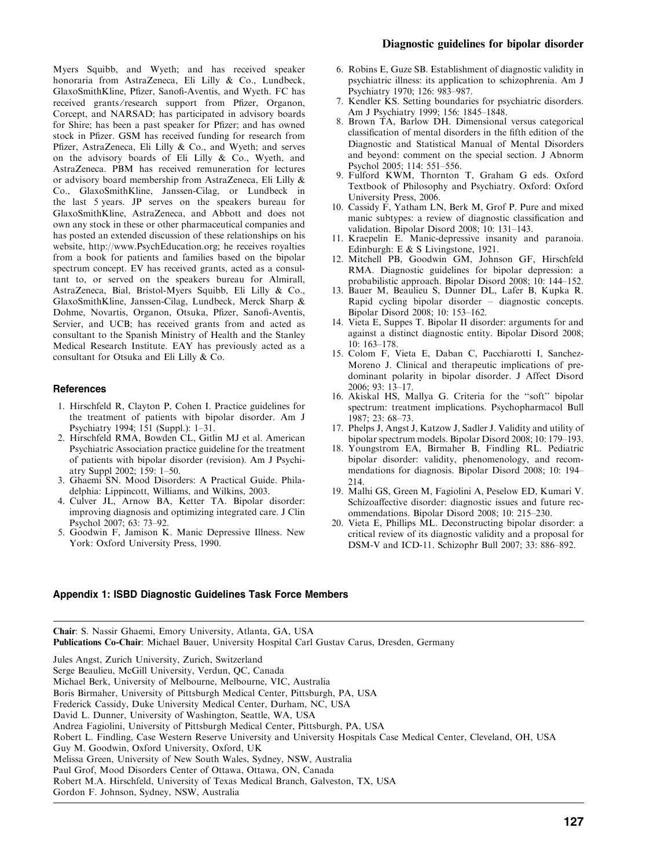Myers Squibb, and Wyeth; and has received speaker honoraria from AstraZeneca, Eli Lilly & Co., Lundbeck, GlaxoSmithKline, Pfizer, Sanofi-Aventis, and Wyeth. FC has received grants ⁄research support from Pfizer, Organon, Corcept, and NARSAD; has participated in advisory boards for Shire; has been a past speaker for Pfizer; and has owned stock in Pfizer. GSM has received funding for research from Pfizer, AstraZeneca, Eli Lilly & Co., and Wyeth; and serves on the advisory boards of Eli Lilly & Co., Wyeth, and AstraZeneca. PBM has received remuneration for lectures or advisory board membership from AstraZeneca, Eli Lilly & Co., GlaxoSmithKline, Janssen-Cilag, or Lundbeck in the last 5 years. JP serves on the speakers bureau for GlaxoSmithKline, AstraZeneca, and Abbott and does not own any stock in these or other pharmaceutical companies and has posted an extended discussion of these relationships on his website, http://www.PsychEducation.org; he receives royalties from a book for patients and families based on the bipolar spectrum concept. EV has received grants, acted as a consultant to, or served on the speakers bureau for Almirall, AstraZeneca, Bial, Bristol-Myers Squibb, Eli Lilly & Co., GlaxoSmithKline, Janssen-Cilag, Lundbeck, Merck Sharp & Dohme, Novartis, Organon, Otsuka, Pfizer, Sanofi-Aventis, Servier, and UCB; has received grants from and acted as consultant to the Spanish Ministry of Health and the Stanley Medical Research Institute. EAY has previously acted as a consultant for Otsuka and Eli Lilly & Co.

#### **References**

- 1. Hirschfeld R, Clayton P, Cohen I. Practice guidelines for the treatment of patients with bipolar disorder. Am J Psychiatry 1994; 151 (Suppl.): 1–31.
- 2. Hirschfeld RMA, Bowden CL, Gitlin MJ et al. American Psychiatric Association practice guideline for the treatment of patients with bipolar disorder (revision). Am J Psychiatry Suppl 2002; 159: 1–50.
- 3. Ghaemi SN. Mood Disorders: A Practical Guide. Philadelphia: Lippincott, Williams, and Wilkins, 2003.
- 4. Culver JL, Arnow BA, Ketter TA. Bipolar disorder: improving diagnosis and optimizing integrated care. J Clin Psychol 2007; 63: 73–92.
- 5. Goodwin F, Jamison K. Manic Depressive Illness. New York: Oxford University Press, 1990.
- 6. Robins E, Guze SB. Establishment of diagnostic validity in psychiatric illness: its application to schizophrenia. Am J Psychiatry 1970; 126: 983–987.
- 7. Kendler KS. Setting boundaries for psychiatric disorders. Am J Psychiatry 1999; 156: 1845–1848.
- 8. Brown TA, Barlow DH. Dimensional versus categorical classification of mental disorders in the fifth edition of the Diagnostic and Statistical Manual of Mental Disorders and beyond: comment on the special section. J Abnorm Psychol 2005; 114: 551–556.
- 9. Fulford KWM, Thornton T, Graham G eds. Oxford Textbook of Philosophy and Psychiatry. Oxford: Oxford University Press, 2006.
- 10. Cassidy F, Yatham LN, Berk M, Grof P. Pure and mixed manic subtypes: a review of diagnostic classification and validation. Bipolar Disord 2008; 10: 131–143.
- 11. Kraepelin E. Manic-depressive insanity and paranoia. Edinburgh: E & S Livingstone, 1921.
- 12. Mitchell PB, Goodwin GM, Johnson GF, Hirschfeld RMA. Diagnostic guidelines for bipolar depression: a probabilistic approach. Bipolar Disord 2008; 10: 144–152.
- 13. Bauer M, Beaulieu S, Dunner DL, Lafer B, Kupka R. Rapid cycling bipolar disorder – diagnostic concepts. Bipolar Disord 2008; 10: 153–162.
- 14. Vieta E, Suppes T. Bipolar II disorder: arguments for and against a distinct diagnostic entity. Bipolar Disord 2008; 10: 163–178.
- 15. Colom F, Vieta E, Daban C, Pacchiarotti I, Sanchez-Moreno J. Clinical and therapeutic implications of predominant polarity in bipolar disorder. J Affect Disord 2006; 93: 13–17.
- 16. Akiskal HS, Mallya G. Criteria for the ''soft'' bipolar spectrum: treatment implications. Psychopharmacol Bull 1987; 23: 68–73.
- 17. Phelps J, Angst J, Katzow J, Sadler J. Validity and utility of bipolar spectrum models. Bipolar Disord 2008; 10: 179–193.
- 18. Youngstrom EA, Birmaher B, Findling RL. Pediatric bipolar disorder: validity, phenomenology, and recommendations for diagnosis. Bipolar Disord 2008; 10: 194– 214.
- 19. Malhi GS, Green M, Fagiolini A, Peselow ED, Kumari V. Schizoaffective disorder: diagnostic issues and future recommendations. Bipolar Disord 2008; 10: 215–230.
- 20. Vieta E, Phillips ML. Deconstructing bipolar disorder: a critical review of its diagnostic validity and a proposal for DSM-V and ICD-11. Schizophr Bull 2007; 33: 886–892.

#### Appendix 1: ISBD Diagnostic Guidelines Task Force Members

Chair: S. Nassir Ghaemi, Emory University, Atlanta, GA, USA Publications Co-Chair: Michael Bauer, University Hospital Carl Gustav Carus, Dresden, Germany

Jules Angst, Zurich University, Zurich, Switzerland Serge Beaulieu, McGill University, Verdun, QC, Canada Michael Berk, University of Melbourne, Melbourne, VIC, Australia Boris Birmaher, University of Pittsburgh Medical Center, Pittsburgh, PA, USA Frederick Cassidy, Duke University Medical Center, Durham, NC, USA David L. Dunner, University of Washington, Seattle, WA, USA Andrea Fagiolini, University of Pittsburgh Medical Center, Pittsburgh, PA, USA Robert L. Findling, Case Western Reserve University and University Hospitals Case Medical Center, Cleveland, OH, USA Guy M. Goodwin, Oxford University, Oxford, UK Melissa Green, University of New South Wales, Sydney, NSW, Australia Paul Grof, Mood Disorders Center of Ottawa, Ottawa, ON, Canada Robert M.A. Hirschfeld, University of Texas Medical Branch, Galveston, TX, USA Gordon F. Johnson, Sydney, NSW, Australia